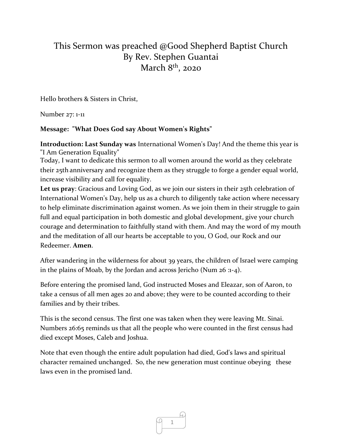## This Sermon was preached @Good Shepherd Baptist Church By Rev. Stephen Guantai March 8<sup>th</sup>, 2020

Hello brothers & Sisters in Christ,

Number 27: 1-11

## **Message: "What Does God say About Women's Rights"**

**Introduction: Last Sunday was** International Women's Day! And the theme this year is "I Am Generation Equality"

Today, I want to dedicate this sermon to all women around the world as they celebrate their 25th anniversary and recognize them as they struggle to forge a gender equal world, increase visibility and call for equality.

**Let us pray**: Gracious and Loving God, as we join our sisters in their 25th celebration of International Women's Day, help us as a church to diligently take action where necessary to help eliminate discrimination against women. As we join them in their struggle to gain full and equal participation in both domestic and global development, give your church courage and determination to faithfully stand with them. And may the word of my mouth and the meditation of all our hearts be acceptable to you, O God, our Rock and our Redeemer. **Amen**.

After wandering in the wilderness for about 39 years, the children of Israel were camping in the plains of Moab, by the Jordan and across Jericho (Num 26 :1-4).

Before entering the promised land, God instructed Moses and Eleazar, son of Aaron, to take a census of all men ages 20 and above; they were to be counted according to their families and by their tribes.

This is the second census. The first one was taken when they were leaving Mt. Sinai. Numbers 26:65 reminds us that all the people who were counted in the first census had died except Moses, Caleb and Joshua.

Note that even though the entire adult population had died, God's laws and spiritual character remained unchanged. So, the new generation must continue obeying these laws even in the promised land.

1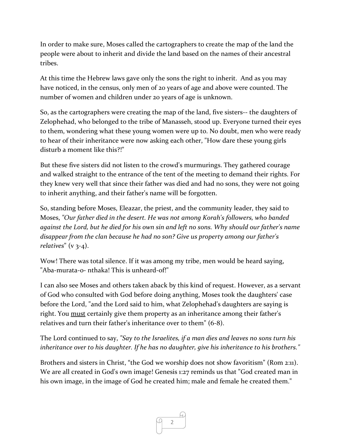In order to make sure, Moses called the cartographers to create the map of the land the people were about to inherit and divide the land based on the names of their ancestral tribes.

At this time the Hebrew laws gave only the sons the right to inherit. And as you may have noticed, in the census, only men of 20 years of age and above were counted. The number of women and children under 20 years of age is unknown.

So, as the cartographers were creating the map of the land, five sisters-- the daughters of Zelophehad, who belonged to the tribe of Manasseh, stood up. Everyone turned their eyes to them, wondering what these young women were up to. No doubt, men who were ready to hear of their inheritance were now asking each other, "How dare these young girls disturb a moment like this?!"

But these five sisters did not listen to the crowd's murmurings. They gathered courage and walked straight to the entrance of the tent of the meeting to demand their rights. For they knew very well that since their father was died and had no sons, they were not going to inherit anything, and their father's name will be forgotten.

So, standing before Moses, Eleazar, the priest, and the community leader, they said to Moses, *"Our father died in the desert. He was not among Korah's followers, who banded against the Lord, but he died for his own sin and left no sons. Why should our father's name disappear from the clan because he had no son? Give us property among our father's relatives*" (v 3-4).

Wow! There was total silence. If it was among my tribe, men would be heard saying, "Aba-murata-o- nthaka! This is unheard-of!"

I can also see Moses and others taken aback by this kind of request. However, as a servant of God who consulted with God before doing anything, Moses took the daughters' case before the Lord, "and the Lord said to him, what Zelophehad's daughters are saying is right. You must certainly give them property as an inheritance among their father's relatives and turn their father's inheritance over to them" (6-8).

The Lord continued to say, *"Say to the Israelites, if a man dies and leaves no sons turn his inheritance over to his daughter. If he has no daughter, give his inheritance to his brothers."*

Brothers and sisters in Christ, "the God we worship does not show favoritism" (Rom 2:11). We are all created in God's own image! Genesis 1:27 reminds us that "God created man in his own image, in the image of God he created him; male and female he created them."

2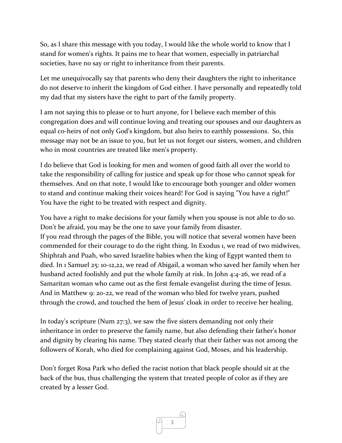So, as I share this message with you today, I would like the whole world to know that I stand for women's rights. It pains me to hear that women, especially in patriarchal societies, have no say or right to inheritance from their parents.

Let me unequivocally say that parents who deny their daughters the right to inheritance do not deserve to inherit the kingdom of God either. I have personally and repeatedly told my dad that my sisters have the right to part of the family property.

I am not saying this to please or to hurt anyone, for I believe each member of this congregation does and will continue loving and treating our spouses and our daughters as equal co-heirs of not only God's kingdom, but also heirs to earthly possessions. So, this message may not be an issue to you, but let us not forget our sisters, women, and children who in most countries are treated like men's property.

I do believe that God is looking for men and women of good faith all over the world to take the responsibility of calling for justice and speak up for those who cannot speak for themselves. And on that note, I would like to encourage both younger and older women to stand and continue making their voices heard! For God is saying "You have a right!" You have the right to be treated with respect and dignity.

You have a right to make decisions for your family when you spouse is not able to do so. Don't be afraid, you may be the one to save your family from disaster. If you read through the pages of the Bible, you will notice that several women have been commended for their courage to do the right thing. In Exodus 1, we read of two midwives, Shiphrah and Puah, who saved Israelite babies when the king of Egypt wanted them to died. In 1 Samuel 25: 10-12,22, we read of Abigail, a woman who saved her family when her husband acted foolishly and put the whole family at risk. In John 4:4-26, we read of a Samaritan woman who came out as the first female evangelist during the time of Jesus. And in Matthew 9: 20-22, we read of the woman who bled for twelve years, pushed through the crowd, and touched the hem of Jesus' cloak in order to receive her healing.

In today's scripture (Num 27:3), we saw the five sisters demanding not only their inheritance in order to preserve the family name, but also defending their father's honor and dignity by clearing his name. They stated clearly that their father was not among the followers of Korah, who died for complaining against God, Moses, and his leadership.

Don't forget Rosa Park who defied the racist notion that black people should sit at the back of the bus, thus challenging the system that treated people of color as if they are created by a lesser God.

3